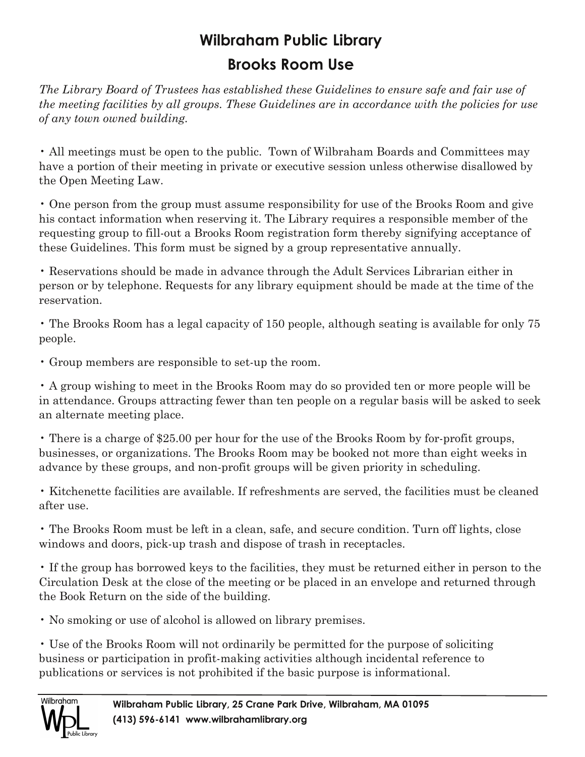## **Wilbraham Public Library Brooks Room Use**

*The Library Board of Trustees has established these Guidelines to ensure safe and fair use of the meeting facilities by all groups. These Guidelines are in accordance with the policies for use of any town owned building.*

• All meetings must be open to the public. Town of Wilbraham Boards and Committees may have a portion of their meeting in private or executive session unless otherwise disallowed by the Open Meeting Law.

• One person from the group must assume responsibility for use of the Brooks Room and give his contact information when reserving it. The Library requires a responsible member of the requesting group to fill-out a Brooks Room registration form thereby signifying acceptance of these Guidelines. This form must be signed by a group representative annually.

• Reservations should be made in advance through the Adult Services Librarian either in person or by telephone. Requests for any library equipment should be made at the time of the reservation.

• The Brooks Room has a legal capacity of 150 people, although seating is available for only 75 people.

• Group members are responsible to set-up the room.

• A group wishing to meet in the Brooks Room may do so provided ten or more people will be in attendance. Groups attracting fewer than ten people on a regular basis will be asked to seek an alternate meeting place.

 $\cdot$  There is a charge of \$25.00 per hour for the use of the Brooks Room by for-profit groups, businesses, or organizations. The Brooks Room may be booked not more than eight weeks in advance by these groups, and non-profit groups will be given priority in scheduling.

• Kitchenette facilities are available. If refreshments are served, the facilities must be cleaned after use.

• The Brooks Room must be left in a clean, safe, and secure condition. Turn off lights, close windows and doors, pick-up trash and dispose of trash in receptacles.

• If the group has borrowed keys to the facilities, they must be returned either in person to the Circulation Desk at the close of the meeting or be placed in an envelope and returned through the Book Return on the side of the building.

• No smoking or use of alcohol is allowed on library premises.

• Use of the Brooks Room will not ordinarily be permitted for the purpose of soliciting business or participation in profit-making activities although incidental reference to publications or services is not prohibited if the basic purpose is informational.